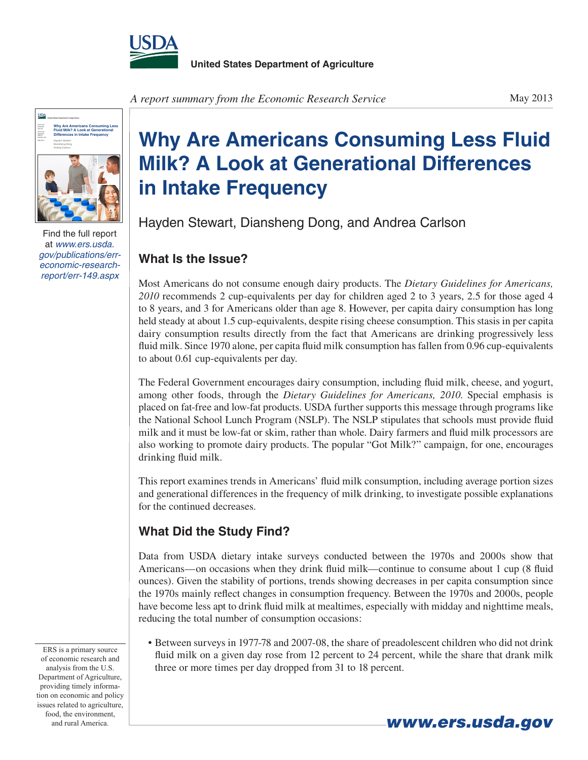



Find the full report at *[www.ers.usda.](http://www.ers.usda.gov/publications/err-economic-research-report/err-149.aspx) [gov/publications/err](http://www.ers.usda.gov/publications/err-economic-research-report/err-149.aspx)[economic-research](http://www.ers.usda.gov/publications/err-economic-research-report/err-149.aspx)[report/err-149.aspx](http://www.ers.usda.gov/publications/err-economic-research-report/err-149.aspx)*

**Why Are Americans Consuming Less Fluid Milk? A Look at Generational Differences in Intake Frequency**

Hayden Stewart, Diansheng Dong, and Andrea Carlson

## **What Is the Issue?**

Most Americans do not consume enough dairy products. The *Dietary Guidelines for Americans, 2010* recommends 2 cup-equivalents per day for children aged 2 to 3 years, 2.5 for those aged 4 to 8 years, and 3 for Americans older than age 8. However, per capita dairy consumption has long held steady at about 1.5 cup-equivalents, despite rising cheese consumption. This stasis in per capita dairy consumption results directly from the fact that Americans are drinking progressively less fluid milk. Since 1970 alone, per capita fluid milk consumption has fallen from 0.96 cup-equivalents to about 0.61 cup-equivalents per day.

The Federal Government encourages dairy consumption, including fluid milk, cheese, and yogurt, among other foods, through the *Dietary Guidelines for Americans, 2010*. Special emphasis is placed on fat-free and low-fat products. USDA further supports this message through programs like the National School Lunch Program (NSLP). The NSLP stipulates that schools must provide fluid milk and it must be low-fat or skim, rather than whole. Dairy farmers and fluid milk processors are also working to promote dairy products. The popular "Got Milk?" campaign, for one, encourages drinking fluid milk.

This report examines trends in Americans' fluid milk consumption, including average portion sizes and generational differences in the frequency of milk drinking, to investigate possible explanations for the continued decreases.

## **What Did the Study Find?**

Data from USDA dietary intake surveys conducted between the 1970s and 2000s show that Americans—on occasions when they drink fluid milk—continue to consume about 1 cup (8 fluid ounces). Given the stability of portions, trends showing decreases in per capita consumption since the 1970s mainly reflect changes in consumption frequency. Between the 1970s and 2000s, people have become less apt to drink fluid milk at mealtimes, especially with midday and nighttime meals, reducing the total number of consumption occasions:

• Between surveys in 1977-78 and 2007-08, the share of preadolescent children who did not drink fluid milk on a given day rose from 12 percent to 24 percent, while the share that drank milk three or more times per day dropped from 31 to 18 percent.

ERS is a primary source of economic research and analysis from the U.S. Department of Agriculture, providing timely information on economic and policy issues related to agriculture, food, the environment,

and rural America. **www.ers.usda.gov**